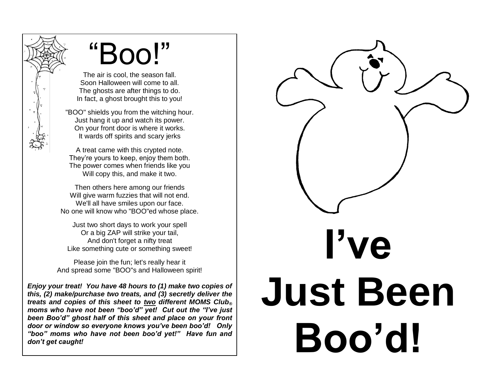## "Boo!"

The air is cool, the season fall. Soon Halloween will come to all. The ghosts are after things to do. In fact, a ghost brought this to you!

"BOO" shields you from the witching hour. Just hang it up and watch its power. On your front door is where it works. It wards off spirits and scary jerks

A treat came with this crypted note. They're yours to keep, enjoy them both. The power comes when friends like you Will copy this, and make it two.

Then others here among our friends Will give warm fuzzies that will not end. We'll all have smiles upon our face. No one will know who "BOO"ed whose place.

Just two short days to work your spell Or a big ZAP will strike your tail, And don't forget a nifty treat Like something cute or something sweet!

Please join the fun; let's really hear it And spread some "BOO"s and Halloween spirit!

*Enjoy your treat! You have 48 hours to (1) make two copies of this, (2) make/purchase two treats, and (3) secretly deliver the treats and copies of this sheet to two different MOMS Club® moms who have not been "boo'd" yet! Cut out the "I've just been Boo'd" ghost half of this sheet and place on your front door or window so everyone knows you've been boo'd! Only "boo" moms who have not been boo'd yet!" Have fun and don't get caught!*